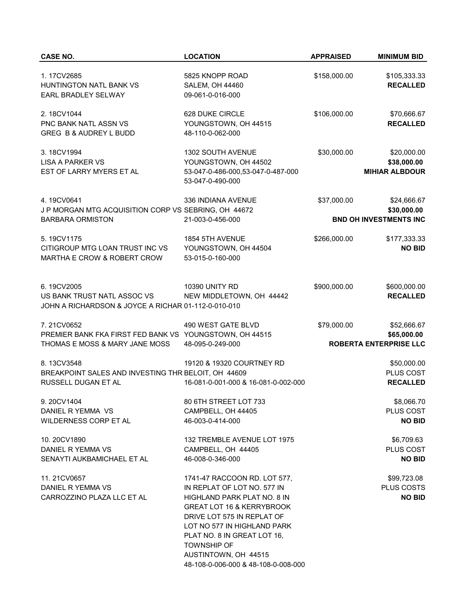| <b>CASE NO.</b>                                                                           | <b>LOCATION</b>                                                                                    | <b>APPRAISED</b> | <b>MINIMUM BID</b>                           |
|-------------------------------------------------------------------------------------------|----------------------------------------------------------------------------------------------------|------------------|----------------------------------------------|
| 1.17CV2685                                                                                | 5825 KNOPP ROAD                                                                                    | \$158,000.00     | \$105,333.33                                 |
| HUNTINGTON NATL BANK VS<br>EARL BRADLEY SELWAY                                            | <b>SALEM, OH 44460</b><br>09-061-0-016-000                                                         |                  | <b>RECALLED</b>                              |
| 2.18CV1044                                                                                | 628 DUKE CIRCLE                                                                                    | \$106,000.00     | \$70,666.67                                  |
| PNC BANK NATL ASSN VS<br>GREG B & AUDREY L BUDD                                           | YOUNGSTOWN, OH 44515<br>48-110-0-062-000                                                           |                  | <b>RECALLED</b>                              |
| 3.18CV1994                                                                                | 1302 SOUTH AVENUE<br>YOUNGSTOWN, OH 44502                                                          | \$30,000.00      | \$20,000.00<br>\$38,000.00                   |
| <b>LISA A PARKER VS</b><br>EST OF LARRY MYERS ET AL                                       | 53-047-0-486-000,53-047-0-487-000<br>53-047-0-490-000                                              |                  | <b>MIHIAR ALBDOUR</b>                        |
| 4.19CV0641<br>J P MORGAN MTG ACQUISITION CORP VS SEBRING, OH 44672                        | 336 INDIANA AVENUE                                                                                 | \$37,000.00      | \$24,666.67<br>\$30,000.00                   |
| <b>BARBARA ORMISTON</b>                                                                   | 21-003-0-456-000                                                                                   |                  | <b>BND OH INVESTMENTS INC</b>                |
| 5.19CV1175<br>CITIGROUP MTG LOAN TRUST INC VS                                             | 1854 5TH AVENUE<br>YOUNGSTOWN, OH 44504                                                            | \$266,000.00     | \$177,333.33<br><b>NO BID</b>                |
| MARTHA E CROW & ROBERT CROW                                                               | 53-015-0-160-000                                                                                   |                  |                                              |
| 6.19CV2005                                                                                | 10390 UNITY RD                                                                                     | \$900,000.00     | \$600,000.00                                 |
| US BANK TRUST NATL ASSOC VS<br>JOHN A RICHARDSON & JOYCE A RICHAR 01-112-0-010-010        | NEW MIDDLETOWN, OH 44442                                                                           |                  | <b>RECALLED</b>                              |
| 7.21CV0652                                                                                | 490 WEST GATE BLVD                                                                                 | \$79,000.00      | \$52,666.67                                  |
| PREMIER BANK FKA FIRST FED BANK VS YOUNGSTOWN, OH 44515<br>THOMAS E MOSS & MARY JANE MOSS | 48-095-0-249-000                                                                                   |                  | \$65,000.00<br><b>ROBERTA ENTERPRISE LLC</b> |
| 8.13CV3548                                                                                | 19120 & 19320 COURTNEY RD                                                                          |                  | \$50,000.00                                  |
| BREAKPOINT SALES AND INVESTING THR BELOIT, OH 44609<br>RUSSELL DUGAN ET AL                | 16-081-0-001-000 & 16-081-0-002-000                                                                |                  | PLUS COST<br><b>RECALLED</b>                 |
| 9.20CV1404                                                                                | 80 6TH STREET LOT 733                                                                              |                  | \$8,066.70                                   |
| DANIEL R YEMMA VS<br>WILDERNESS CORP ET AL                                                | CAMPBELL, OH 44405<br>46-003-0-414-000                                                             |                  | <b>PLUS COST</b><br><b>NO BID</b>            |
| 10.20CV1890                                                                               | 132 TREMBLE AVENUE LOT 1975                                                                        |                  | \$6,709.63                                   |
| DANIEL R YEMMA VS<br>SENAYTI AUKBAMICHAEL ET AL                                           | CAMPBELL, OH 44405<br>46-008-0-346-000                                                             |                  | <b>PLUS COST</b><br><b>NO BID</b>            |
| 11.21CV0657                                                                               | 1741-47 RACCOON RD. LOT 577,                                                                       |                  | \$99,723.08                                  |
| DANIEL R YEMMA VS<br>CARROZZINO PLAZA LLC ET AL                                           | IN REPLAT OF LOT NO. 577 IN<br>HIGHLAND PARK PLAT NO. 8 IN<br><b>GREAT LOT 16 &amp; KERRYBROOK</b> |                  | <b>PLUS COSTS</b><br><b>NO BID</b>           |
|                                                                                           | DRIVE LOT 575 IN REPLAT OF<br>LOT NO 577 IN HIGHLAND PARK                                          |                  |                                              |
|                                                                                           | PLAT NO. 8 IN GREAT LOT 16,<br><b>TOWNSHIP OF</b>                                                  |                  |                                              |
|                                                                                           | AUSTINTOWN, OH 44515<br>48-108-0-006-000 & 48-108-0-008-000                                        |                  |                                              |